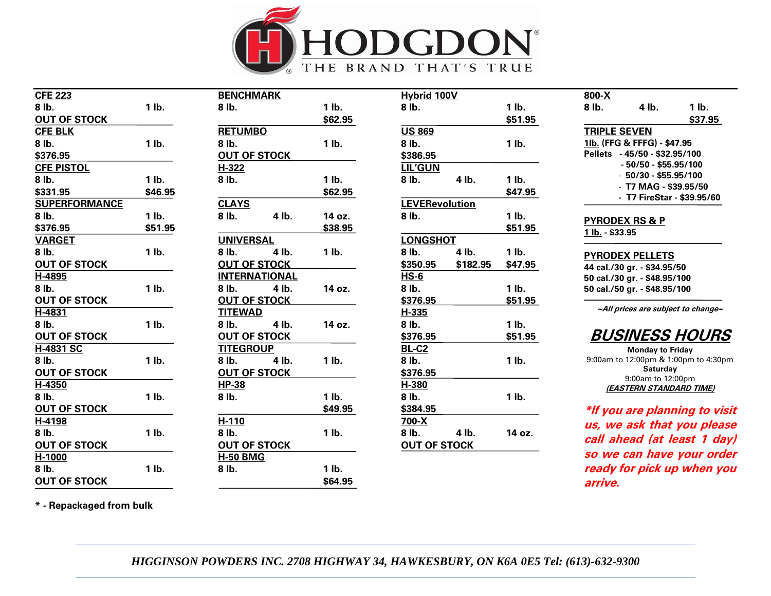

| <b>CFE 223</b>       |         | <b>BENCHMARK</b>     |       |         | <b>Hybrid 100V</b>    |          |         | 800-X                                        |                                                     |                                      |
|----------------------|---------|----------------------|-------|---------|-----------------------|----------|---------|----------------------------------------------|-----------------------------------------------------|--------------------------------------|
| 8 lb.                | $1$ lb. | 8 lb.                |       | $1$ lb. | 8 lb.                 |          | $1$ lb. | 8 lb.                                        | 4 lb.                                               | $1$ lb.                              |
| <b>OUT OF STOCK</b>  |         |                      |       | \$62.95 |                       |          | \$51.95 |                                              |                                                     | \$37.95                              |
| <b>CFE BLK</b>       |         | <b>RETUMBO</b>       |       |         | <b>US 869</b>         |          |         | <b>TRIPLE SEVEN</b>                          |                                                     |                                      |
| 8 lb.                | $1$ lb. | 8 lb.                |       | $1$ lb. | 8 lb.                 |          | 1 lb.   |                                              | 11b. (FFG & FFFG) - \$47.95                         |                                      |
| \$376.95             |         | <b>OUT OF STOCK</b>  |       |         | \$386.95              |          |         |                                              | Pellets - 45/50 - \$32.95/100                       |                                      |
| <b>CFE PISTOL</b>    |         | H-322                |       |         | <b>LIL'GUN</b>        |          |         |                                              | $-50/50 - $55.95/100$                               |                                      |
| 8 lb.                | $1$ lb. | 8 lb.                |       | $1$ lb. | 8 lb.                 | 4 lb.    | $1$ lb. |                                              | $-50/30 - $55.95/100$                               |                                      |
| \$331.95             | \$46.95 |                      |       | \$62.95 |                       |          | \$47.95 |                                              | - T7 MAG - \$39.95/50<br>- T7 FireStar - \$39.95/60 |                                      |
| <b>SUPERFORMANCE</b> |         | <b>CLAYS</b>         |       |         | <b>LEVERevolution</b> |          |         |                                              |                                                     |                                      |
| 8 lb.                | $1$ lb. | 8 lb.                | 4 lb. | 14 oz.  | 8 lb.                 |          | 1 lb.   |                                              |                                                     |                                      |
| \$376.95             | \$51.95 |                      |       | \$38.95 |                       |          | \$51.95 | <b>PYRODEX RS &amp; P</b><br>1 lb. - \$33.95 |                                                     |                                      |
| <b>VARGET</b>        |         | <b>UNIVERSAL</b>     |       |         | <b>LONGSHOT</b>       |          |         |                                              |                                                     |                                      |
| 8 lb.                | $1$ lb. | 8 lb.                | 4 lb. | $1$ lb. | 8 lb.                 | 4 lb.    | $1$ lb. |                                              | <b>PYRODEX PELLETS</b>                              |                                      |
| <b>OUT OF STOCK</b>  |         | <b>OUT OF STOCK</b>  |       |         | \$350.95              | \$182.95 | \$47.95 |                                              | 44 cal./30 gr. - \$34.95/50                         |                                      |
| H-4895               |         | <b>INTERNATIONAL</b> |       |         | <b>HS-6</b>           |          |         |                                              | 50 cal./30 gr. - \$48.95/100                        |                                      |
| 8 lb.                | $1$ lb. | 8 lb.                | 4 lb. | 14 oz.  | 8 lb.                 |          | $1$ lb. |                                              | 50 cal./50 gr. - \$48.95/100                        |                                      |
| <b>OUT OF STOCK</b>  |         | <b>OUT OF STOCK</b>  |       |         | \$376.95              |          | \$51.95 |                                              |                                                     |                                      |
| H-4831               |         | <b>TITEWAD</b>       |       |         | H-335                 |          |         |                                              |                                                     | ~All prices are subject to change~   |
| 8 lb.                | $1$ lb. | 8 lb.                | 4 lb. | 14 oz.  | 8 lb.                 |          | 1 lb.   |                                              |                                                     |                                      |
| <b>OUT OF STOCK</b>  |         | <b>OUT OF STOCK</b>  |       |         | \$376.95              |          | \$51.95 |                                              |                                                     | <b>BUSINESS HOURS</b>                |
| H-4831 SC            |         | <b>TITEGROUP</b>     |       |         | <b>BL-C2</b>          |          |         |                                              | <b>Monday to Friday</b>                             |                                      |
| 8 lb.                | $1$ lb. | 8 lb.                | 4 lb. | $1$ lb. | 8 lb.                 |          | 1 lb.   |                                              |                                                     | 9:00am to 12:00pm & 1:00pm to 4:30pm |
| <b>OUT OF STOCK</b>  |         | <b>OUT OF STOCK</b>  |       |         | \$376.95              |          |         |                                              | Saturday<br>9:00am to 12:00pm                       |                                      |
| $H-4350$             |         | <b>HP-38</b>         |       |         | H-380                 |          |         |                                              | (EASTERN STANDARD TIME)                             |                                      |
| 8 lb.                | $1$ lb. | 8 lb.                |       | $1$ lb. | 8 lb.                 |          | 1 lb.   |                                              |                                                     |                                      |
| <b>OUT OF STOCK</b>  |         |                      |       | \$49.95 | \$384.95              |          |         |                                              |                                                     | *If you are planning to visit        |
| H-4198               |         | H-110                |       |         | 700-X                 |          |         |                                              |                                                     | us, we ask that you please           |
| 8 lb.                | $1$ lb. | 8 lb.                |       | $1$ lb. | 8 lb.                 | 4 lb.    | 14 oz.  |                                              |                                                     |                                      |
| <b>OUT OF STOCK</b>  |         | <b>OUT OF STOCK</b>  |       |         | <b>OUT OF STOCK</b>   |          |         |                                              |                                                     | call ahead (at least 1 day)          |
| H-1000               |         | <b>H-50 BMG</b>      |       |         |                       |          |         |                                              |                                                     | so we can have your order            |
| 8 lb.                | $1$ lb. | 8 lb.                |       | $1$ lb. |                       |          |         |                                              |                                                     | ready for pick up when you           |
| <b>OUT OF STOCK</b>  |         |                      |       | \$64.95 |                       |          |         | arrive.                                      |                                                     |                                      |

**\* - Repackaged from bulk** 

*HIGGINSON POWDERS INC. 2708 HIGHWAY 34, HAWKESBURY, ON K6A 0E5 Tel: (613)-632-9300*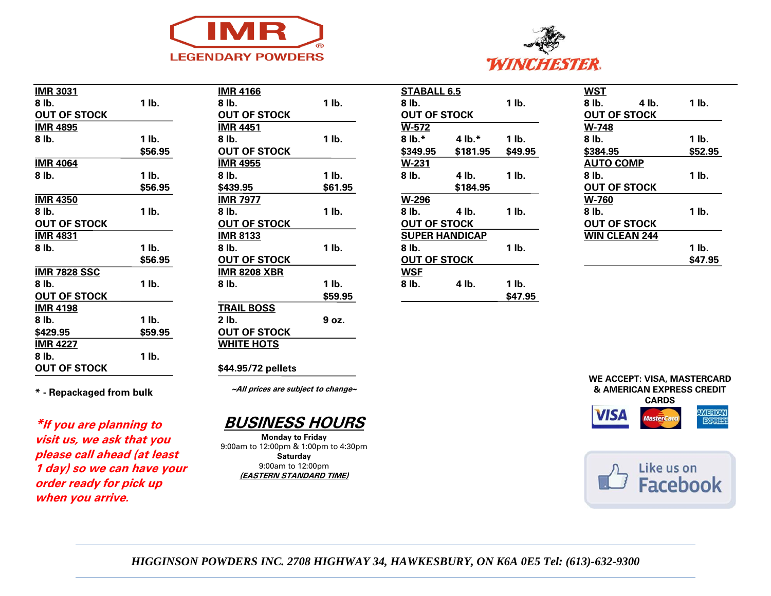



| <b>IMR 3031</b>     |         |
|---------------------|---------|
| 8 lb.               | 1 lb.   |
| <b>OUT OF STOCK</b> |         |
| <b>IMR 4895</b>     |         |
| 8 lb.               | 1 lb.   |
|                     | \$56.95 |
| <b>IMR 4064</b>     |         |
| 8 lb.               | 1 lb.   |
|                     | \$56.95 |
| <b>IMR 4350</b>     |         |
| 8 lb.               | 1 lb.   |
| <b>OUT OF STOCK</b> |         |
| IMR 4831            |         |
| 8 lb.               | 1 lb.   |
|                     | \$56.95 |
| <b>IMR 7828 SSC</b> |         |
| 8 lb.               | 1 lb.   |
| <b>OUT OF STOCK</b> |         |
| <b>IMR 4198</b>     |         |
| 8 lb.               | 1 lb.   |
| \$429.95            | \$59.95 |
| <b>IMR 4227</b>     |         |
| 8 lb.               | 1 lb.   |
| <b>OUT OF STOCK</b> |         |
|                     |         |

| <b>IMR 4166</b>     |         |
|---------------------|---------|
| 8 lb.               | 1 lb.   |
| <b>OUT OF STOCK</b> |         |
| IMR 4451            |         |
| 8 lb.               | 1 lb.   |
| <b>OUT OF STOCK</b> |         |
| <b>IMR 4955</b>     |         |
| 8 lb.               | 1 lb.   |
| \$439.95            | \$61.95 |
| <b>IMR 7977</b>     |         |
| 8 lb.               | 1 lb.   |
| <b>OUT OF STOCK</b> |         |
| <b>IMR 8133</b>     |         |
| 8 lb.               | 1 lb.   |
| <b>OUT OF STOCK</b> |         |
| <u>IMR 8208 XBR</u> |         |
| 8 lb.               | 1 lb.   |
|                     | \$59.95 |
| <b>TRAIL BOSS</b>   |         |
| 2 lb.               | 9 oz.   |
| <b>OUT OF STOCK</b> |         |
| <b>WHITE HOTS</b>   |         |
|                     |         |

| STABALL 6.5           |           |         |  |  |
|-----------------------|-----------|---------|--|--|
| 8 lb.                 | 1 lb.     |         |  |  |
| <b>OUT OF STOCK</b>   |           |         |  |  |
| $W-572$               |           |         |  |  |
| $8 lb.*$              | 4 lb. $*$ | 1 lb.   |  |  |
| \$349.95              | \$181.95  | \$49.95 |  |  |
| W-231                 |           |         |  |  |
| 8 lb.                 | 4 lb.     | 1 lb.   |  |  |
|                       | \$184.95  |         |  |  |
| W-296                 |           |         |  |  |
| 8 lb.                 | 4 lb.     | 1 lb.   |  |  |
| <b>OUT OF STOCK</b>   |           |         |  |  |
| <b>SUPER HANDICAP</b> |           |         |  |  |
| 8 lb.                 |           | 1 lb.   |  |  |
| <b>OUT OF STOCK</b>   |           |         |  |  |
| <b>WSE</b>            |           |         |  |  |
| 8 lb.                 | 4 lb.     | 1 lb.   |  |  |
|                       |           | \$47.95 |  |  |

| WST                  |         |
|----------------------|---------|
| 8 lb.<br>4 lb.       | 1 lb.   |
| <b>OUT OF STOCK</b>  |         |
| W-748                |         |
| 8 lb.                | 1 lb.   |
| \$384.95             | \$52.95 |
| <b>AUTO COMP</b>     |         |
| 8 lb.                | 1 lb.   |
| <b>OUT OF STOCK</b>  |         |
| <b>W-760</b>         |         |
| 8 lb.                | 1 lb.   |
| <b>OUT OF STOCK</b>  |         |
| <b>WIN CLEAN 244</b> |         |
|                      | 1 lb.   |
|                      | \$47.95 |
|                      |         |

**\* - Repackaged from bulk**

**\*If you are planning to visit us, we ask that you please call ahead (at least 1 day) so we can have your order ready for pick up when you arrive.**

**~All prices are subject to change~**

**\$44.95/72 pellets**



**Monday to Friday** 9:00am to 12:00pm & 1:00pm to 4:30pm **Saturday** 9:00am to 12:00pm **(EASTERN STANDARD TIME)**







*HIGGINSON POWDERS INC. 2708 HIGHWAY 34, HAWKESBURY, ON K6A 0E5 Tel: (613)-632-9300*